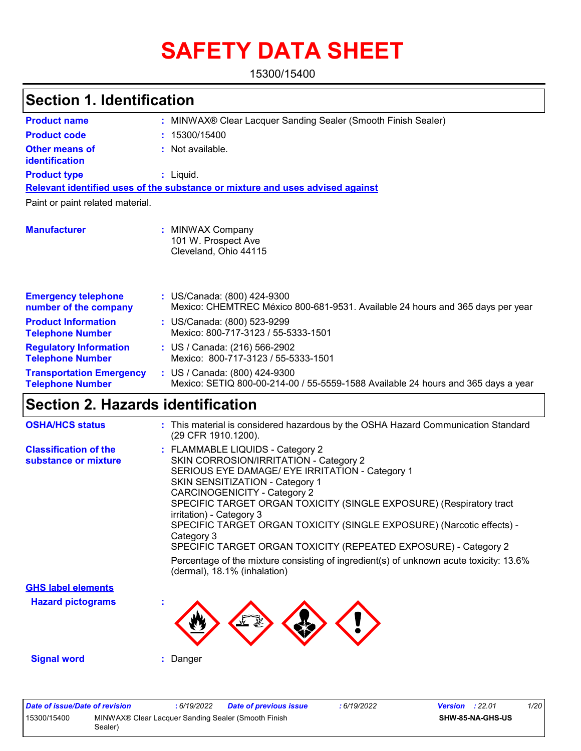# **SAFETY DATA SHEET**

15300/15400

### **Section 1. Identification**

| <b>Product name</b>                                        | : MINWAX® Clear Lacquer Sanding Sealer (Smooth Finish Sealer)                                                      |
|------------------------------------------------------------|--------------------------------------------------------------------------------------------------------------------|
| <b>Product code</b>                                        | 15300/15400                                                                                                        |
| <b>Other means of</b><br>identification                    | : Not available.                                                                                                   |
| <b>Product type</b>                                        | $:$ Liquid.                                                                                                        |
|                                                            | Relevant identified uses of the substance or mixture and uses advised against                                      |
| Paint or paint related material.                           |                                                                                                                    |
| <b>Manufacturer</b>                                        | : MINWAX Company<br>101 W. Prospect Ave<br>Cleveland, Ohio 44115                                                   |
| <b>Emergency telephone</b><br>number of the company        | : US/Canada: (800) 424-9300<br>Mexico: CHEMTREC México 800-681-9531. Available 24 hours and 365 days per year      |
| <b>Product Information</b><br><b>Telephone Number</b>      | : US/Canada: (800) 523-9299<br>Mexico: 800-717-3123 / 55-5333-1501                                                 |
| <b>Regulatory Information</b><br><b>Telephone Number</b>   | : US / Canada: (216) 566-2902<br>Mexico: 800-717-3123 / 55-5333-1501                                               |
| <b>Transportation Emergency</b><br><b>Telephone Number</b> | : US / Canada: (800) 424-9300<br>Mexico: SETIQ 800-00-214-00 / 55-5559-1588 Available 24 hours and 365 days a year |

### **Section 2. Hazards identification**

| <b>OSHA/HCS status</b>                               | : This material is considered hazardous by the OSHA Hazard Communication Standard<br>(29 CFR 1910.1200).                                                                                                                                                                                                                                                                                                                                                                                                                                                                                              |
|------------------------------------------------------|-------------------------------------------------------------------------------------------------------------------------------------------------------------------------------------------------------------------------------------------------------------------------------------------------------------------------------------------------------------------------------------------------------------------------------------------------------------------------------------------------------------------------------------------------------------------------------------------------------|
| <b>Classification of the</b><br>substance or mixture | : FLAMMABLE LIQUIDS - Category 2<br>SKIN CORROSION/IRRITATION - Category 2<br>SERIOUS EYE DAMAGE/ EYE IRRITATION - Category 1<br><b>SKIN SENSITIZATION - Category 1</b><br><b>CARCINOGENICITY - Category 2</b><br>SPECIFIC TARGET ORGAN TOXICITY (SINGLE EXPOSURE) (Respiratory tract<br>irritation) - Category 3<br>SPECIFIC TARGET ORGAN TOXICITY (SINGLE EXPOSURE) (Narcotic effects) -<br>Category 3<br>SPECIFIC TARGET ORGAN TOXICITY (REPEATED EXPOSURE) - Category 2<br>Percentage of the mixture consisting of ingredient(s) of unknown acute toxicity: 13.6%<br>(dermal), 18.1% (inhalation) |
| <b>GHS label elements</b>                            |                                                                                                                                                                                                                                                                                                                                                                                                                                                                                                                                                                                                       |
| <b>Hazard pictograms</b>                             |                                                                                                                                                                                                                                                                                                                                                                                                                                                                                                                                                                                                       |
| <b>Signal word</b>                                   | : Danger                                                                                                                                                                                                                                                                                                                                                                                                                                                                                                                                                                                              |

| Date of issue/Date of revision |                                                                | : 6/19/2022 | <b>Date of previous issue</b> | 6/19/2022 | <b>Version</b> : $22.01$ |                  | 1/20 |
|--------------------------------|----------------------------------------------------------------|-------------|-------------------------------|-----------|--------------------------|------------------|------|
| 15300/15400                    | MINWAX® Clear Lacquer Sanding Sealer (Smooth Finish<br>Sealer) |             |                               |           |                          | SHW-85-NA-GHS-US |      |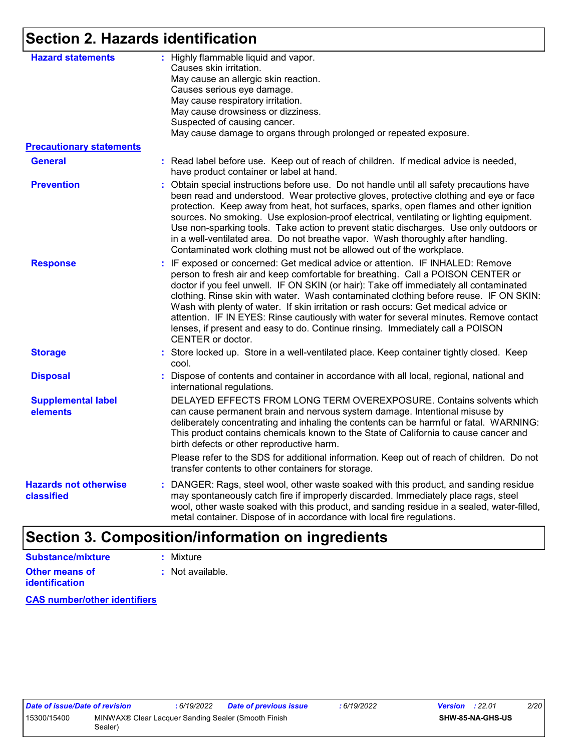### **Section 2. Hazards identification**

| <b>Hazard statements</b>                   | : Highly flammable liquid and vapor.<br>Causes skin irritation.<br>May cause an allergic skin reaction.<br>Causes serious eye damage.<br>May cause respiratory irritation.<br>May cause drowsiness or dizziness.<br>Suspected of causing cancer.<br>May cause damage to organs through prolonged or repeated exposure.                                                                                                                                                                                                                                                                                                                       |
|--------------------------------------------|----------------------------------------------------------------------------------------------------------------------------------------------------------------------------------------------------------------------------------------------------------------------------------------------------------------------------------------------------------------------------------------------------------------------------------------------------------------------------------------------------------------------------------------------------------------------------------------------------------------------------------------------|
| <b>Precautionary statements</b>            |                                                                                                                                                                                                                                                                                                                                                                                                                                                                                                                                                                                                                                              |
| <b>General</b>                             | : Read label before use. Keep out of reach of children. If medical advice is needed,<br>have product container or label at hand.                                                                                                                                                                                                                                                                                                                                                                                                                                                                                                             |
| <b>Prevention</b>                          | : Obtain special instructions before use. Do not handle until all safety precautions have<br>been read and understood. Wear protective gloves, protective clothing and eye or face<br>protection. Keep away from heat, hot surfaces, sparks, open flames and other ignition<br>sources. No smoking. Use explosion-proof electrical, ventilating or lighting equipment.<br>Use non-sparking tools. Take action to prevent static discharges. Use only outdoors or<br>in a well-ventilated area. Do not breathe vapor. Wash thoroughly after handling.<br>Contaminated work clothing must not be allowed out of the workplace.                 |
| <b>Response</b>                            | : IF exposed or concerned: Get medical advice or attention. IF INHALED: Remove<br>person to fresh air and keep comfortable for breathing. Call a POISON CENTER or<br>doctor if you feel unwell. IF ON SKIN (or hair): Take off immediately all contaminated<br>clothing. Rinse skin with water. Wash contaminated clothing before reuse. IF ON SKIN:<br>Wash with plenty of water. If skin irritation or rash occurs: Get medical advice or<br>attention. IF IN EYES: Rinse cautiously with water for several minutes. Remove contact<br>lenses, if present and easy to do. Continue rinsing. Immediately call a POISON<br>CENTER or doctor. |
| <b>Storage</b>                             | : Store locked up. Store in a well-ventilated place. Keep container tightly closed. Keep<br>cool.                                                                                                                                                                                                                                                                                                                                                                                                                                                                                                                                            |
| <b>Disposal</b>                            | Dispose of contents and container in accordance with all local, regional, national and<br>international regulations.                                                                                                                                                                                                                                                                                                                                                                                                                                                                                                                         |
| <b>Supplemental label</b><br>elements      | DELAYED EFFECTS FROM LONG TERM OVEREXPOSURE. Contains solvents which<br>can cause permanent brain and nervous system damage. Intentional misuse by<br>deliberately concentrating and inhaling the contents can be harmful or fatal. WARNING:<br>This product contains chemicals known to the State of California to cause cancer and<br>birth defects or other reproductive harm.                                                                                                                                                                                                                                                            |
|                                            | Please refer to the SDS for additional information. Keep out of reach of children. Do not<br>transfer contents to other containers for storage.                                                                                                                                                                                                                                                                                                                                                                                                                                                                                              |
| <b>Hazards not otherwise</b><br>classified | : DANGER: Rags, steel wool, other waste soaked with this product, and sanding residue<br>may spontaneously catch fire if improperly discarded. Immediately place rags, steel<br>wool, other waste soaked with this product, and sanding residue in a sealed, water-filled,<br>metal container. Dispose of in accordance with local fire regulations.                                                                                                                                                                                                                                                                                         |

### **Section 3. Composition/information on ingredients**

| <b>Substance/mixture</b> | : Mixture        |
|--------------------------|------------------|
| <b>Other means of</b>    | : Not available. |
| <b>identification</b>    |                  |

**CAS number/other identifiers**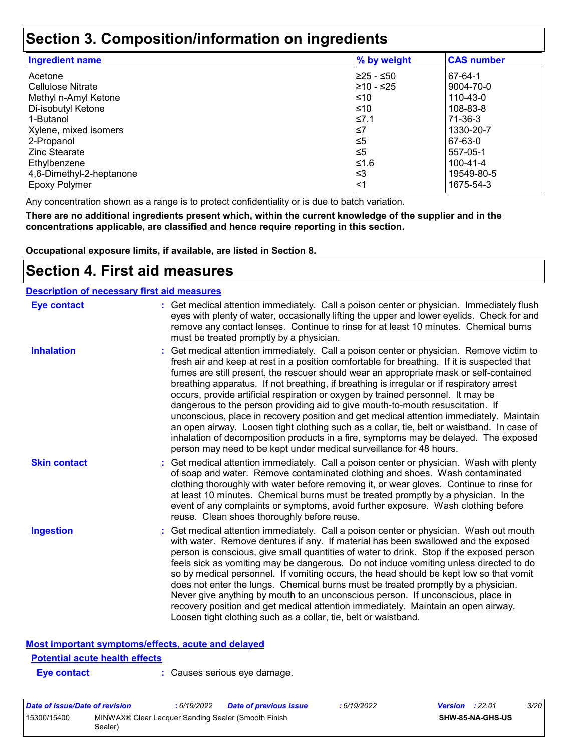### **Section 3. Composition/information on ingredients**

| <b>Ingredient name</b>   | % by weight | <b>CAS number</b> |
|--------------------------|-------------|-------------------|
| Acetone                  | 225 - ≤50   | 67-64-1           |
| Cellulose Nitrate        | 210 - ≤25   | 9004-70-0         |
| Methyl n-Amyl Ketone     | $\leq 10$   | 110-43-0          |
| Di-isobutyl Ketone       | l≤10        | 108-83-8          |
| 1-Butanol                | 1.7≥∣       | 71-36-3           |
| Xylene, mixed isomers    | l≤7         | 1330-20-7         |
| 2-Propanol               | l≤5         | 67-63-0           |
| Zinc Stearate            | l≤5         | 557-05-1          |
| Ethylbenzene             | 1≤1.6       | 100-41-4          |
| 4,6-Dimethyl-2-heptanone | l≤3         | 19549-80-5        |
| Epoxy Polymer            | $\leq$ 1    | 1675-54-3         |

Any concentration shown as a range is to protect confidentiality or is due to batch variation.

**There are no additional ingredients present which, within the current knowledge of the supplier and in the concentrations applicable, are classified and hence require reporting in this section.**

**Occupational exposure limits, if available, are listed in Section 8.**

### **Section 4. First aid measures**

| <b>Description of necessary first aid measures</b> |                                                                                                                                                                                                                                                                                                                                                                                                                                                                                                                                                                                                                                                                                                                                                                                                                                                                                                              |
|----------------------------------------------------|--------------------------------------------------------------------------------------------------------------------------------------------------------------------------------------------------------------------------------------------------------------------------------------------------------------------------------------------------------------------------------------------------------------------------------------------------------------------------------------------------------------------------------------------------------------------------------------------------------------------------------------------------------------------------------------------------------------------------------------------------------------------------------------------------------------------------------------------------------------------------------------------------------------|
| <b>Eye contact</b>                                 | : Get medical attention immediately. Call a poison center or physician. Immediately flush<br>eyes with plenty of water, occasionally lifting the upper and lower eyelids. Check for and<br>remove any contact lenses. Continue to rinse for at least 10 minutes. Chemical burns<br>must be treated promptly by a physician.                                                                                                                                                                                                                                                                                                                                                                                                                                                                                                                                                                                  |
| <b>Inhalation</b>                                  | : Get medical attention immediately. Call a poison center or physician. Remove victim to<br>fresh air and keep at rest in a position comfortable for breathing. If it is suspected that<br>fumes are still present, the rescuer should wear an appropriate mask or self-contained<br>breathing apparatus. If not breathing, if breathing is irregular or if respiratory arrest<br>occurs, provide artificial respiration or oxygen by trained personnel. It may be<br>dangerous to the person providing aid to give mouth-to-mouth resuscitation. If<br>unconscious, place in recovery position and get medical attention immediately. Maintain<br>an open airway. Loosen tight clothing such as a collar, tie, belt or waistband. In case of<br>inhalation of decomposition products in a fire, symptoms may be delayed. The exposed<br>person may need to be kept under medical surveillance for 48 hours. |
| <b>Skin contact</b>                                | : Get medical attention immediately. Call a poison center or physician. Wash with plenty<br>of soap and water. Remove contaminated clothing and shoes. Wash contaminated<br>clothing thoroughly with water before removing it, or wear gloves. Continue to rinse for<br>at least 10 minutes. Chemical burns must be treated promptly by a physician. In the<br>event of any complaints or symptoms, avoid further exposure. Wash clothing before<br>reuse. Clean shoes thoroughly before reuse.                                                                                                                                                                                                                                                                                                                                                                                                              |
| <b>Ingestion</b>                                   | : Get medical attention immediately. Call a poison center or physician. Wash out mouth<br>with water. Remove dentures if any. If material has been swallowed and the exposed<br>person is conscious, give small quantities of water to drink. Stop if the exposed person<br>feels sick as vomiting may be dangerous. Do not induce vomiting unless directed to do<br>so by medical personnel. If vomiting occurs, the head should be kept low so that vomit<br>does not enter the lungs. Chemical burns must be treated promptly by a physician.<br>Never give anything by mouth to an unconscious person. If unconscious, place in<br>recovery position and get medical attention immediately. Maintain an open airway.<br>Loosen tight clothing such as a collar, tie, belt or waistband.                                                                                                                  |
|                                                    |                                                                                                                                                                                                                                                                                                                                                                                                                                                                                                                                                                                                                                                                                                                                                                                                                                                                                                              |

### **Most important symptoms/effects, acute and delayed Potential acute health effects**

**Eye contact :** Causes serious eye damage.

| Date of issue/Date of revision |                                                                | : 6/19/2022 | <b>Date of previous issue</b> | : 6/19/2022 | <b>Version</b> : 22.01 |                         | 3/20 |
|--------------------------------|----------------------------------------------------------------|-------------|-------------------------------|-------------|------------------------|-------------------------|------|
| 15300/15400                    | MINWAX® Clear Lacquer Sanding Sealer (Smooth Finish<br>Sealer) |             |                               |             |                        | <b>SHW-85-NA-GHS-US</b> |      |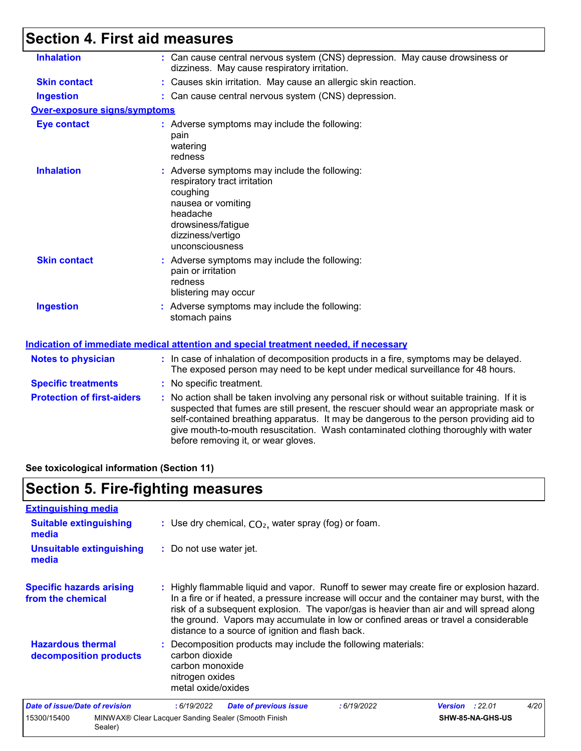## **Section 4. First aid measures**

| <b>Inhalation</b>                   | : Can cause central nervous system (CNS) depression. May cause drowsiness or<br>dizziness. May cause respiratory irritation.                                                                                                                                                                                                                                                                                    |
|-------------------------------------|-----------------------------------------------------------------------------------------------------------------------------------------------------------------------------------------------------------------------------------------------------------------------------------------------------------------------------------------------------------------------------------------------------------------|
| <b>Skin contact</b>                 | : Causes skin irritation. May cause an allergic skin reaction.                                                                                                                                                                                                                                                                                                                                                  |
| <b>Ingestion</b>                    | : Can cause central nervous system (CNS) depression.                                                                                                                                                                                                                                                                                                                                                            |
| <b>Over-exposure signs/symptoms</b> |                                                                                                                                                                                                                                                                                                                                                                                                                 |
| <b>Eye contact</b>                  | : Adverse symptoms may include the following:<br>pain<br>watering<br>redness                                                                                                                                                                                                                                                                                                                                    |
| <b>Inhalation</b>                   | : Adverse symptoms may include the following:<br>respiratory tract irritation<br>coughing<br>nausea or vomiting<br>headache<br>drowsiness/fatigue<br>dizziness/vertigo<br>unconsciousness                                                                                                                                                                                                                       |
| <b>Skin contact</b>                 | : Adverse symptoms may include the following:<br>pain or irritation<br>redness<br>blistering may occur                                                                                                                                                                                                                                                                                                          |
| <b>Ingestion</b>                    | : Adverse symptoms may include the following:<br>stomach pains                                                                                                                                                                                                                                                                                                                                                  |
|                                     | Indication of immediate medical attention and special treatment needed, if necessary                                                                                                                                                                                                                                                                                                                            |
| <b>Notes to physician</b>           | : In case of inhalation of decomposition products in a fire, symptoms may be delayed.<br>The exposed person may need to be kept under medical surveillance for 48 hours.                                                                                                                                                                                                                                        |
| <b>Specific treatments</b>          | : No specific treatment.                                                                                                                                                                                                                                                                                                                                                                                        |
| <b>Protection of first-aiders</b>   | : No action shall be taken involving any personal risk or without suitable training. If it is<br>suspected that fumes are still present, the rescuer should wear an appropriate mask or<br>self-contained breathing apparatus. It may be dangerous to the person providing aid to<br>give mouth-to-mouth resuscitation. Wash contaminated clothing thoroughly with water<br>before removing it, or wear gloves. |

**See toxicological information (Section 11)**

Sealer)

## **Section 5. Fire-fighting measures**

| <b>Extinguishing media</b>                           |                                                                                                                                                                                                                                                                                                                                                                                                                                 |  |  |  |  |  |
|------------------------------------------------------|---------------------------------------------------------------------------------------------------------------------------------------------------------------------------------------------------------------------------------------------------------------------------------------------------------------------------------------------------------------------------------------------------------------------------------|--|--|--|--|--|
| <b>Suitable extinguishing</b><br>media               | : Use dry chemical, $CO2$ , water spray (fog) or foam.                                                                                                                                                                                                                                                                                                                                                                          |  |  |  |  |  |
| <b>Unsuitable extinguishing</b><br>media             | : Do not use water jet.                                                                                                                                                                                                                                                                                                                                                                                                         |  |  |  |  |  |
| <b>Specific hazards arising</b><br>from the chemical | : Highly flammable liquid and vapor. Runoff to sewer may create fire or explosion hazard.<br>In a fire or if heated, a pressure increase will occur and the container may burst, with the<br>risk of a subsequent explosion. The vapor/gas is heavier than air and will spread along<br>the ground. Vapors may accumulate in low or confined areas or travel a considerable<br>distance to a source of ignition and flash back. |  |  |  |  |  |
| <b>Hazardous thermal</b><br>decomposition products   | : Decomposition products may include the following materials:<br>carbon dioxide<br>carbon monoxide<br>nitrogen oxides<br>metal oxide/oxides                                                                                                                                                                                                                                                                                     |  |  |  |  |  |
| Date of issue/Date of revision                       | 4/20<br>:6/19/2022<br><b>Date of previous issue</b><br>: 6/19/2022<br><b>Version : 22.01</b>                                                                                                                                                                                                                                                                                                                                    |  |  |  |  |  |
| 15300/15400                                          | MINWAX® Clear Lacquer Sanding Sealer (Smooth Finish<br>SHW-85-NA-GHS-US                                                                                                                                                                                                                                                                                                                                                         |  |  |  |  |  |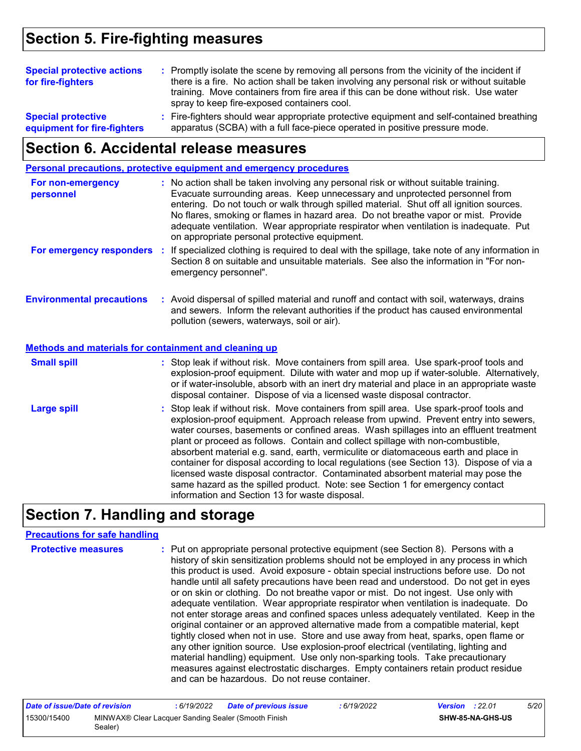### **Section 5. Fire-fighting measures**

| <b>Special protective actions</b><br>for fire-fighters   |  | : Promptly isolate the scene by removing all persons from the vicinity of the incident if<br>there is a fire. No action shall be taken involving any personal risk or without suitable<br>training. Move containers from fire area if this can be done without risk. Use water<br>spray to keep fire-exposed containers cool. |
|----------------------------------------------------------|--|-------------------------------------------------------------------------------------------------------------------------------------------------------------------------------------------------------------------------------------------------------------------------------------------------------------------------------|
| <b>Special protective</b><br>equipment for fire-fighters |  | : Fire-fighters should wear appropriate protective equipment and self-contained breathing<br>apparatus (SCBA) with a full face-piece operated in positive pressure mode.                                                                                                                                                      |

### **Section 6. Accidental release measures**

| <b>Personal precautions, protective equipment and emergency procedures</b>                                      |  |  |
|-----------------------------------------------------------------------------------------------------------------|--|--|
|                                                                                                                 |  |  |
| the contract of the contract of the contract of the contract of the contract of the contract of the contract of |  |  |

| For non-emergency<br>personnel                               |    | : No action shall be taken involving any personal risk or without suitable training.<br>Evacuate surrounding areas. Keep unnecessary and unprotected personnel from<br>entering. Do not touch or walk through spilled material. Shut off all ignition sources.<br>No flares, smoking or flames in hazard area. Do not breathe vapor or mist. Provide<br>adequate ventilation. Wear appropriate respirator when ventilation is inadequate. Put<br>on appropriate personal protective equipment. |
|--------------------------------------------------------------|----|------------------------------------------------------------------------------------------------------------------------------------------------------------------------------------------------------------------------------------------------------------------------------------------------------------------------------------------------------------------------------------------------------------------------------------------------------------------------------------------------|
| For emergency responders                                     | п. | If specialized clothing is required to deal with the spillage, take note of any information in<br>Section 8 on suitable and unsuitable materials. See also the information in "For non-<br>emergency personnel".                                                                                                                                                                                                                                                                               |
| <b>Environmental precautions</b>                             |    | : Avoid dispersal of spilled material and runoff and contact with soil, waterways, drains<br>and sewers. Inform the relevant authorities if the product has caused environmental<br>pollution (sewers, waterways, soil or air).                                                                                                                                                                                                                                                                |
| <b>Methods and materials for containment and cleaning up</b> |    |                                                                                                                                                                                                                                                                                                                                                                                                                                                                                                |
| <b>Small spill</b>                                           |    | : Stop leak if without risk. Move containers from spill area. Use spark-proof tools and<br>explosion-proof equipment. Dilute with water and mop up if water-soluble. Alternatively,<br>or if water-insoluble, absorb with an inert dry material and place in an appropriate waste<br>disposal container. Dispose of via a licensed waste disposal contractor.                                                                                                                                  |
| <b>Large spill</b>                                           |    | . Stop leak if without risk Move containers from spill area Lise spark-proof tools and                                                                                                                                                                                                                                                                                                                                                                                                         |

Stop leak if without risk. Move containers from spill area. Use spark-proof tools and explosion-proof equipment. Approach release from upwind. Prevent entry into sewers, water courses, basements or confined areas. Wash spillages into an effluent treatment plant or proceed as follows. Contain and collect spillage with non-combustible, absorbent material e.g. sand, earth, vermiculite or diatomaceous earth and place in container for disposal according to local regulations (see Section 13). Dispose of via a licensed waste disposal contractor. Contaminated absorbent material may pose the same hazard as the spilled product. Note: see Section 1 for emergency contact information and Section 13 for waste disposal. **Large spill :**

### **Section 7. Handling and storage**

#### **Precautions for safe handling**

| <b>Protective measures</b> | : Put on appropriate personal protective equipment (see Section 8). Persons with a<br>history of skin sensitization problems should not be employed in any process in which<br>this product is used. Avoid exposure - obtain special instructions before use. Do not<br>handle until all safety precautions have been read and understood. Do not get in eyes<br>or on skin or clothing. Do not breathe vapor or mist. Do not ingest. Use only with<br>adequate ventilation. Wear appropriate respirator when ventilation is inadequate. Do<br>not enter storage areas and confined spaces unless adequately ventilated. Keep in the<br>original container or an approved alternative made from a compatible material, kept<br>tightly closed when not in use. Store and use away from heat, sparks, open flame or<br>any other ignition source. Use explosion-proof electrical (ventilating, lighting and<br>material handling) equipment. Use only non-sparking tools. Take precautionary<br>measures against electrostatic discharges. Empty containers retain product residue |
|----------------------------|-----------------------------------------------------------------------------------------------------------------------------------------------------------------------------------------------------------------------------------------------------------------------------------------------------------------------------------------------------------------------------------------------------------------------------------------------------------------------------------------------------------------------------------------------------------------------------------------------------------------------------------------------------------------------------------------------------------------------------------------------------------------------------------------------------------------------------------------------------------------------------------------------------------------------------------------------------------------------------------------------------------------------------------------------------------------------------------|
|                            | and can be hazardous. Do not reuse container.                                                                                                                                                                                                                                                                                                                                                                                                                                                                                                                                                                                                                                                                                                                                                                                                                                                                                                                                                                                                                                     |

| Date of issue/Date of revision |                                                                 | 6/19/2022 | <b>Date of previous issue</b> | : 6/19/2022 | <b>Version</b> : 22.01 |                         | 5/20 |
|--------------------------------|-----------------------------------------------------------------|-----------|-------------------------------|-------------|------------------------|-------------------------|------|
| 15300/15400                    | MINWAX® Clear Lacquer Sanding Sealer (Smooth Finish<br>Sealer). |           |                               |             |                        | <b>SHW-85-NA-GHS-US</b> |      |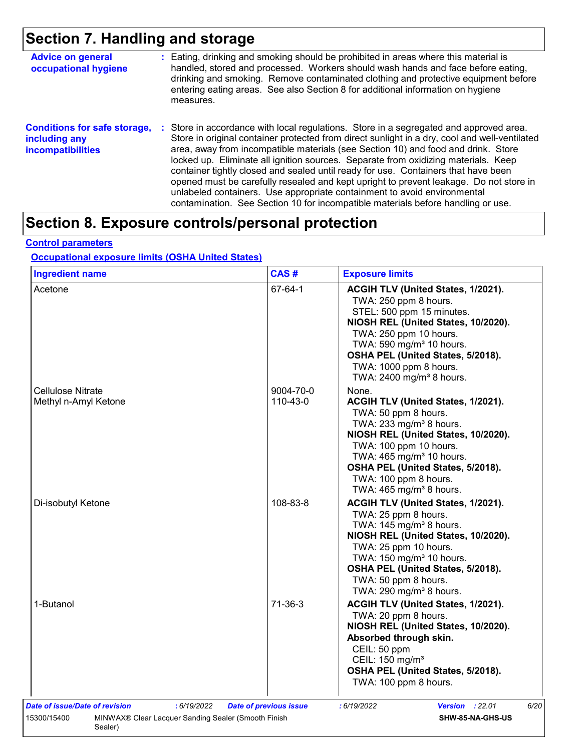## **Section 7. Handling and storage**

| <b>Advice on general</b><br>occupational hygiene                                 | : Eating, drinking and smoking should be prohibited in areas where this material is<br>handled, stored and processed. Workers should wash hands and face before eating,<br>drinking and smoking. Remove contaminated clothing and protective equipment before<br>entering eating areas. See also Section 8 for additional information on hygiene<br>measures.                                                                                                                                                                                                                                                                                                                                                      |
|----------------------------------------------------------------------------------|--------------------------------------------------------------------------------------------------------------------------------------------------------------------------------------------------------------------------------------------------------------------------------------------------------------------------------------------------------------------------------------------------------------------------------------------------------------------------------------------------------------------------------------------------------------------------------------------------------------------------------------------------------------------------------------------------------------------|
| <b>Conditions for safe storage,</b><br>including any<br><b>incompatibilities</b> | : Store in accordance with local regulations. Store in a segregated and approved area.<br>Store in original container protected from direct sunlight in a dry, cool and well-ventilated<br>area, away from incompatible materials (see Section 10) and food and drink. Store<br>locked up. Eliminate all ignition sources. Separate from oxidizing materials. Keep<br>container tightly closed and sealed until ready for use. Containers that have been<br>opened must be carefully resealed and kept upright to prevent leakage. Do not store in<br>unlabeled containers. Use appropriate containment to avoid environmental<br>contamination. See Section 10 for incompatible materials before handling or use. |

### **Section 8. Exposure controls/personal protection**

#### **Control parameters**

**Occupational exposure limits (OSHA United States)**

| <b>Ingredient name</b>                                                                                              | CAS#                          | <b>Exposure limits</b>                                                                                                                                                                                                                                                                                                   |
|---------------------------------------------------------------------------------------------------------------------|-------------------------------|--------------------------------------------------------------------------------------------------------------------------------------------------------------------------------------------------------------------------------------------------------------------------------------------------------------------------|
| Acetone                                                                                                             | 67-64-1                       | ACGIH TLV (United States, 1/2021).<br>TWA: 250 ppm 8 hours.<br>STEL: 500 ppm 15 minutes.<br>NIOSH REL (United States, 10/2020).<br>TWA: 250 ppm 10 hours.<br>TWA: 590 mg/m <sup>3</sup> 10 hours.<br>OSHA PEL (United States, 5/2018).<br>TWA: 1000 ppm 8 hours.<br>TWA: 2400 mg/m <sup>3</sup> 8 hours.                 |
| Cellulose Nitrate<br>Methyl n-Amyl Ketone                                                                           | 9004-70-0<br>110-43-0         | None.<br>ACGIH TLV (United States, 1/2021).<br>TWA: 50 ppm 8 hours.<br>TWA: 233 mg/m <sup>3</sup> 8 hours.<br>NIOSH REL (United States, 10/2020).<br>TWA: 100 ppm 10 hours.<br>TWA: 465 mg/m <sup>3</sup> 10 hours.<br>OSHA PEL (United States, 5/2018).<br>TWA: 100 ppm 8 hours.<br>TWA: 465 mg/m <sup>3</sup> 8 hours. |
| Di-isobutyl Ketone                                                                                                  | 108-83-8                      | ACGIH TLV (United States, 1/2021).<br>TWA: 25 ppm 8 hours.<br>TWA: 145 mg/m <sup>3</sup> 8 hours.<br>NIOSH REL (United States, 10/2020).<br>TWA: 25 ppm 10 hours.<br>TWA: 150 mg/m <sup>3</sup> 10 hours.<br>OSHA PEL (United States, 5/2018).<br>TWA: 50 ppm 8 hours.<br>TWA: 290 mg/m <sup>3</sup> 8 hours.            |
| 1-Butanol                                                                                                           | $71-36-3$                     | ACGIH TLV (United States, 1/2021).<br>TWA: 20 ppm 8 hours.<br>NIOSH REL (United States, 10/2020).<br>Absorbed through skin.<br>CEIL: 50 ppm<br>CEIL: 150 mg/m <sup>3</sup><br>OSHA PEL (United States, 5/2018).<br>TWA: 100 ppm 8 hours.                                                                                 |
| Date of issue/Date of revision<br>: 6/19/2022<br>15300/15400<br>MINWAX® Clear Lacquer Sanding Sealer (Smooth Finish | <b>Date of previous issue</b> | 6/20<br>: 6/19/2022<br><b>Version</b> : 22.01<br>SHW-85-NA-GHS-US                                                                                                                                                                                                                                                        |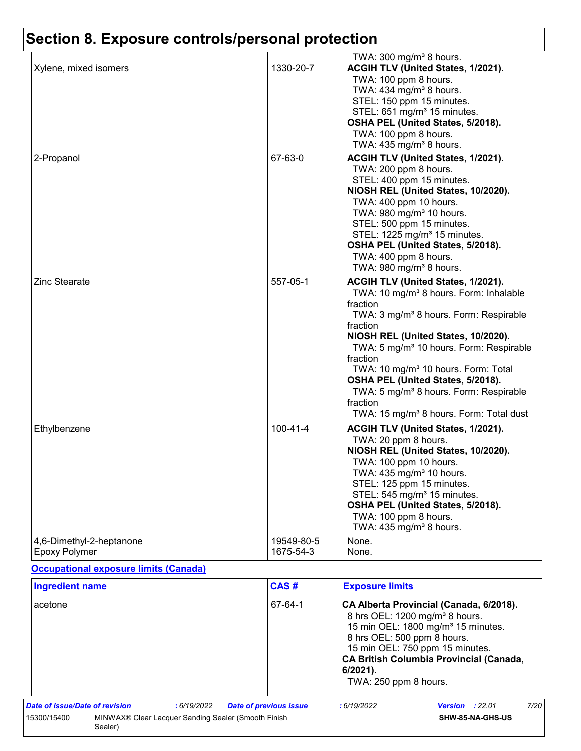|                                                  |                         | TWA: $300 \text{ mg/m}^3$ 8 hours.                                                                                                                                                                                                                                                                                                                                                                                                                                                                |
|--------------------------------------------------|-------------------------|---------------------------------------------------------------------------------------------------------------------------------------------------------------------------------------------------------------------------------------------------------------------------------------------------------------------------------------------------------------------------------------------------------------------------------------------------------------------------------------------------|
| Xylene, mixed isomers                            | 1330-20-7               | ACGIH TLV (United States, 1/2021).                                                                                                                                                                                                                                                                                                                                                                                                                                                                |
|                                                  |                         | TWA: 100 ppm 8 hours.<br>TWA: $434$ mg/m <sup>3</sup> 8 hours.<br>STEL: 150 ppm 15 minutes.<br>STEL: 651 mg/m <sup>3</sup> 15 minutes.<br>OSHA PEL (United States, 5/2018).<br>TWA: 100 ppm 8 hours.<br>TWA: $435 \text{ mg/m}^3$ 8 hours.                                                                                                                                                                                                                                                        |
| 2-Propanol                                       | 67-63-0                 | ACGIH TLV (United States, 1/2021).                                                                                                                                                                                                                                                                                                                                                                                                                                                                |
|                                                  |                         | TWA: 200 ppm 8 hours.<br>STEL: 400 ppm 15 minutes.<br>NIOSH REL (United States, 10/2020).<br>TWA: 400 ppm 10 hours.<br>TWA: 980 mg/m <sup>3</sup> 10 hours.<br>STEL: 500 ppm 15 minutes.<br>STEL: 1225 mg/m <sup>3</sup> 15 minutes.<br>OSHA PEL (United States, 5/2018).<br>TWA: 400 ppm 8 hours.<br>TWA: 980 mg/m <sup>3</sup> 8 hours.                                                                                                                                                         |
| <b>Zinc Stearate</b>                             | 557-05-1                | ACGIH TLV (United States, 1/2021).<br>TWA: 10 mg/m <sup>3</sup> 8 hours. Form: Inhalable<br>fraction<br>TWA: 3 mg/m <sup>3</sup> 8 hours. Form: Respirable<br>fraction<br>NIOSH REL (United States, 10/2020).<br>TWA: 5 mg/m <sup>3</sup> 10 hours. Form: Respirable<br>fraction<br>TWA: 10 mg/m <sup>3</sup> 10 hours. Form: Total<br>OSHA PEL (United States, 5/2018).<br>TWA: 5 mg/m <sup>3</sup> 8 hours. Form: Respirable<br>fraction<br>TWA: 15 mg/m <sup>3</sup> 8 hours. Form: Total dust |
| Ethylbenzene                                     | 100-41-4                | ACGIH TLV (United States, 1/2021).<br>TWA: 20 ppm 8 hours.<br>NIOSH REL (United States, 10/2020).<br>TWA: 100 ppm 10 hours.<br>TWA: 435 mg/m <sup>3</sup> 10 hours.<br>STEL: 125 ppm 15 minutes.<br>STEL: 545 mg/m <sup>3</sup> 15 minutes.<br>OSHA PEL (United States, 5/2018).<br>TWA: 100 ppm 8 hours.<br>TWA: 435 mg/m <sup>3</sup> 8 hours.                                                                                                                                                  |
| 4,6-Dimethyl-2-heptanone<br><b>Epoxy Polymer</b> | 19549-80-5<br>1675-54-3 | None.<br>None.                                                                                                                                                                                                                                                                                                                                                                                                                                                                                    |

#### **Occupational exposure limits (Canada)**

| <b>Ingredient name</b>         |         |            | CAS#                                                | <b>Exposure limits</b>                                           |                                                                                                                                                                                                                              |      |
|--------------------------------|---------|------------|-----------------------------------------------------|------------------------------------------------------------------|------------------------------------------------------------------------------------------------------------------------------------------------------------------------------------------------------------------------------|------|
| acetone                        |         |            | 67-64-1                                             | 8 hrs OEL: 500 ppm 8 hours.<br>6/2021).<br>TWA: 250 ppm 8 hours. | CA Alberta Provincial (Canada, 6/2018).<br>8 hrs OEL: 1200 mg/m <sup>3</sup> 8 hours.<br>15 min OEL: 1800 mg/m <sup>3</sup> 15 minutes.<br>15 min OEL: 750 ppm 15 minutes.<br><b>CA British Columbia Provincial (Canada,</b> |      |
| Date of issue/Date of revision |         | :6/19/2022 | <b>Date of previous issue</b>                       | :6/19/2022                                                       | <b>Version</b> : $22.01$                                                                                                                                                                                                     | 7/20 |
| 15300/15400                    | Sealer) |            | MINWAX® Clear Lacquer Sanding Sealer (Smooth Finish |                                                                  | SHW-85-NA-GHS-US                                                                                                                                                                                                             |      |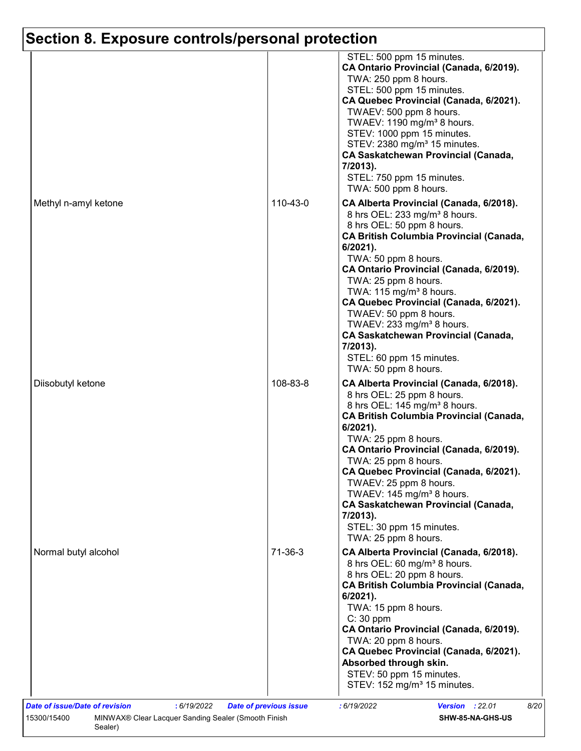|                      |           | STEL: 500 ppm 15 minutes.<br>CA Ontario Provincial (Canada, 6/2019).<br>TWA: 250 ppm 8 hours.<br>STEL: 500 ppm 15 minutes.<br>CA Quebec Provincial (Canada, 6/2021).<br>TWAEV: 500 ppm 8 hours.<br>TWAEV: 1190 mg/m <sup>3</sup> 8 hours.<br>STEV: 1000 ppm 15 minutes.<br>STEV: 2380 mg/m <sup>3</sup> 15 minutes.<br><b>CA Saskatchewan Provincial (Canada,</b><br>7/2013).<br>STEL: 750 ppm 15 minutes.<br>TWA: 500 ppm 8 hours.                                                                                                           |
|----------------------|-----------|-----------------------------------------------------------------------------------------------------------------------------------------------------------------------------------------------------------------------------------------------------------------------------------------------------------------------------------------------------------------------------------------------------------------------------------------------------------------------------------------------------------------------------------------------|
| Methyl n-amyl ketone | 110-43-0  | CA Alberta Provincial (Canada, 6/2018).<br>8 hrs OEL: 233 mg/m <sup>3</sup> 8 hours.<br>8 hrs OEL: 50 ppm 8 hours.<br><b>CA British Columbia Provincial (Canada,</b><br>6/2021).<br>TWA: 50 ppm 8 hours.<br>CA Ontario Provincial (Canada, 6/2019).<br>TWA: 25 ppm 8 hours.<br>TWA: 115 mg/m <sup>3</sup> 8 hours.<br>CA Quebec Provincial (Canada, 6/2021).<br>TWAEV: 50 ppm 8 hours.<br>TWAEV: 233 mg/m <sup>3</sup> 8 hours.<br><b>CA Saskatchewan Provincial (Canada,</b><br>7/2013).<br>STEL: 60 ppm 15 minutes.<br>TWA: 50 ppm 8 hours. |
| Diisobutyl ketone    | 108-83-8  | CA Alberta Provincial (Canada, 6/2018).<br>8 hrs OEL: 25 ppm 8 hours.<br>8 hrs OEL: 145 mg/m <sup>3</sup> 8 hours.<br><b>CA British Columbia Provincial (Canada,</b><br>$6/2021$ ).<br>TWA: 25 ppm 8 hours.<br>CA Ontario Provincial (Canada, 6/2019).<br>TWA: 25 ppm 8 hours.<br>CA Quebec Provincial (Canada, 6/2021).<br>TWAEV: 25 ppm 8 hours.<br>TWAEV: 145 mg/m <sup>3</sup> 8 hours.<br><b>CA Saskatchewan Provincial (Canada,</b><br>7/2013).<br>STEL: 30 ppm 15 minutes.<br>TWA: 25 ppm 8 hours.                                     |
| Normal butyl alcohol | $71-36-3$ | CA Alberta Provincial (Canada, 6/2018).<br>8 hrs OEL: 60 mg/m <sup>3</sup> 8 hours.<br>8 hrs OEL: 20 ppm 8 hours.<br><b>CA British Columbia Provincial (Canada,</b><br>$6/2021$ ).<br>TWA: 15 ppm 8 hours.<br>$C: 30$ ppm<br>CA Ontario Provincial (Canada, 6/2019).<br>TWA: 20 ppm 8 hours.<br>CA Quebec Provincial (Canada, 6/2021).<br>Absorbed through skin.<br>STEV: 50 ppm 15 minutes.<br>STEV: 152 mg/m <sup>3</sup> 15 minutes.                                                                                                       |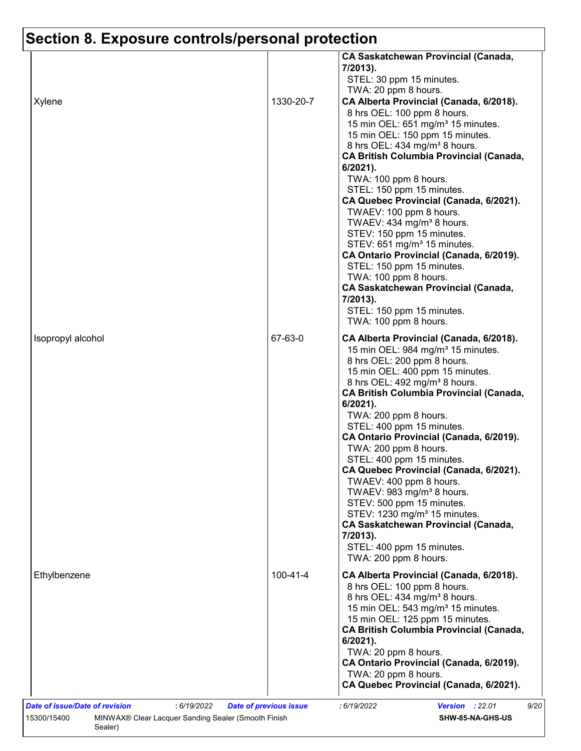| Xylene            | 1330-20-7      | <b>CA Saskatchewan Provincial (Canada,</b><br>7/2013).<br>STEL: 30 ppm 15 minutes.<br>TWA: 20 ppm 8 hours.<br>CA Alberta Provincial (Canada, 6/2018).<br>8 hrs OEL: 100 ppm 8 hours.<br>15 min OEL: 651 mg/m <sup>3</sup> 15 minutes.<br>15 min OEL: 150 ppm 15 minutes.<br>8 hrs OEL: 434 mg/m <sup>3</sup> 8 hours.<br><b>CA British Columbia Provincial (Canada,</b><br>$6/2021$ ).<br>TWA: 100 ppm 8 hours.<br>STEL: 150 ppm 15 minutes.<br>CA Quebec Provincial (Canada, 6/2021).<br>TWAEV: 100 ppm 8 hours.<br>TWAEV: 434 mg/m <sup>3</sup> 8 hours.<br>STEV: 150 ppm 15 minutes.<br>STEV: 651 mg/m <sup>3</sup> 15 minutes.<br>CA Ontario Provincial (Canada, 6/2019).<br>STEL: 150 ppm 15 minutes.<br>TWA: 100 ppm 8 hours.<br><b>CA Saskatchewan Provincial (Canada,</b><br>7/2013). |
|-------------------|----------------|-----------------------------------------------------------------------------------------------------------------------------------------------------------------------------------------------------------------------------------------------------------------------------------------------------------------------------------------------------------------------------------------------------------------------------------------------------------------------------------------------------------------------------------------------------------------------------------------------------------------------------------------------------------------------------------------------------------------------------------------------------------------------------------------------|
|                   |                | STEL: 150 ppm 15 minutes.                                                                                                                                                                                                                                                                                                                                                                                                                                                                                                                                                                                                                                                                                                                                                                     |
| Isopropyl alcohol | 67-63-0        | TWA: 100 ppm 8 hours.<br>CA Alberta Provincial (Canada, 6/2018).<br>15 min OEL: 984 mg/m <sup>3</sup> 15 minutes.<br>8 hrs OEL: 200 ppm 8 hours.<br>15 min OEL: 400 ppm 15 minutes.<br>8 hrs OEL: 492 mg/m <sup>3</sup> 8 hours.<br><b>CA British Columbia Provincial (Canada,</b><br>6/2021).<br>TWA: 200 ppm 8 hours.<br>STEL: 400 ppm 15 minutes.<br>CA Ontario Provincial (Canada, 6/2019).<br>TWA: 200 ppm 8 hours.<br>STEL: 400 ppm 15 minutes.<br>CA Quebec Provincial (Canada, 6/2021).<br>TWAEV: 400 ppm 8 hours.<br>TWAEV: 983 mg/m <sup>3</sup> 8 hours.<br>STEV: 500 ppm 15 minutes.<br>STEV: 1230 mg/m <sup>3</sup> 15 minutes.<br><b>CA Saskatchewan Provincial (Canada,</b><br>7/2013).<br>STEL: 400 ppm 15 minutes.<br>TWA: 200 ppm 8 hours.                                  |
| Ethylbenzene      | $100 - 41 - 4$ | CA Alberta Provincial (Canada, 6/2018).<br>8 hrs OEL: 100 ppm 8 hours.<br>8 hrs OEL: 434 mg/m <sup>3</sup> 8 hours.<br>15 min OEL: 543 mg/m <sup>3</sup> 15 minutes.<br>15 min OEL: 125 ppm 15 minutes.<br><b>CA British Columbia Provincial (Canada,</b><br>$6/2021$ ).<br>TWA: 20 ppm 8 hours.<br>CA Ontario Provincial (Canada, 6/2019).<br>TWA: 20 ppm 8 hours.<br>CA Quebec Provincial (Canada, 6/2021).                                                                                                                                                                                                                                                                                                                                                                                 |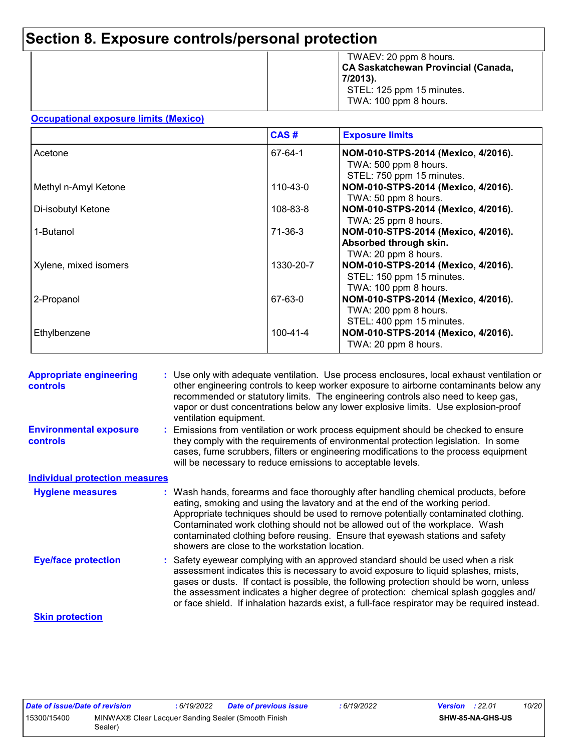|  | TWAEV: 20 ppm 8 hours.<br><b>CA Saskatchewan Provincial (Canada,</b><br>7/2013).<br>STEL: 125 ppm 15 minutes.<br>TWA: 100 ppm 8 hours. |
|--|----------------------------------------------------------------------------------------------------------------------------------------|
|--|----------------------------------------------------------------------------------------------------------------------------------------|

#### **Occupational exposure limits (Mexico)**

|                       | CAS#           | <b>Exposure limits</b>                                                                    |
|-----------------------|----------------|-------------------------------------------------------------------------------------------|
| Acetone               | 67-64-1        | NOM-010-STPS-2014 (Mexico, 4/2016).<br>TWA: 500 ppm 8 hours.<br>STEL: 750 ppm 15 minutes. |
| Methyl n-Amyl Ketone  | 110-43-0       | NOM-010-STPS-2014 (Mexico, 4/2016).<br>TWA: 50 ppm 8 hours.                               |
| Di-isobutyl Ketone    | 108-83-8       | NOM-010-STPS-2014 (Mexico, 4/2016).<br>TWA: 25 ppm 8 hours.                               |
| 1-Butanol             | 71-36-3        | NOM-010-STPS-2014 (Mexico, 4/2016).<br>Absorbed through skin.<br>TWA: 20 ppm 8 hours.     |
| Xylene, mixed isomers | 1330-20-7      | NOM-010-STPS-2014 (Mexico, 4/2016).<br>STEL: 150 ppm 15 minutes.<br>TWA: 100 ppm 8 hours. |
| 2-Propanol            | 67-63-0        | NOM-010-STPS-2014 (Mexico, 4/2016).<br>TWA: 200 ppm 8 hours.<br>STEL: 400 ppm 15 minutes. |
| Ethylbenzene          | $100 - 41 - 4$ | NOM-010-STPS-2014 (Mexico, 4/2016).<br>TWA: 20 ppm 8 hours.                               |

| <b>Appropriate engineering</b><br><b>controls</b> | : Use only with adequate ventilation. Use process enclosures, local exhaust ventilation or<br>other engineering controls to keep worker exposure to airborne contaminants below any<br>recommended or statutory limits. The engineering controls also need to keep gas,<br>vapor or dust concentrations below any lower explosive limits. Use explosion-proof<br>ventilation equipment.                                                                                     |
|---------------------------------------------------|-----------------------------------------------------------------------------------------------------------------------------------------------------------------------------------------------------------------------------------------------------------------------------------------------------------------------------------------------------------------------------------------------------------------------------------------------------------------------------|
| <b>Environmental exposure</b><br><b>controls</b>  | : Emissions from ventilation or work process equipment should be checked to ensure<br>they comply with the requirements of environmental protection legislation. In some<br>cases, fume scrubbers, filters or engineering modifications to the process equipment<br>will be necessary to reduce emissions to acceptable levels.                                                                                                                                             |
| <b>Individual protection measures</b>             |                                                                                                                                                                                                                                                                                                                                                                                                                                                                             |
| <b>Hygiene measures</b>                           | : Wash hands, forearms and face thoroughly after handling chemical products, before<br>eating, smoking and using the lavatory and at the end of the working period.<br>Appropriate techniques should be used to remove potentially contaminated clothing.<br>Contaminated work clothing should not be allowed out of the workplace. Wash<br>contaminated clothing before reusing. Ensure that eyewash stations and safety<br>showers are close to the workstation location. |
| <b>Eye/face protection</b>                        | : Safety eyewear complying with an approved standard should be used when a risk<br>assessment indicates this is necessary to avoid exposure to liquid splashes, mists,<br>gases or dusts. If contact is possible, the following protection should be worn, unless<br>the assessment indicates a higher degree of protection: chemical splash goggles and/<br>or face shield. If inhalation hazards exist, a full-face respirator may be required instead.                   |
| <b>Skin protection</b>                            |                                                                                                                                                                                                                                                                                                                                                                                                                                                                             |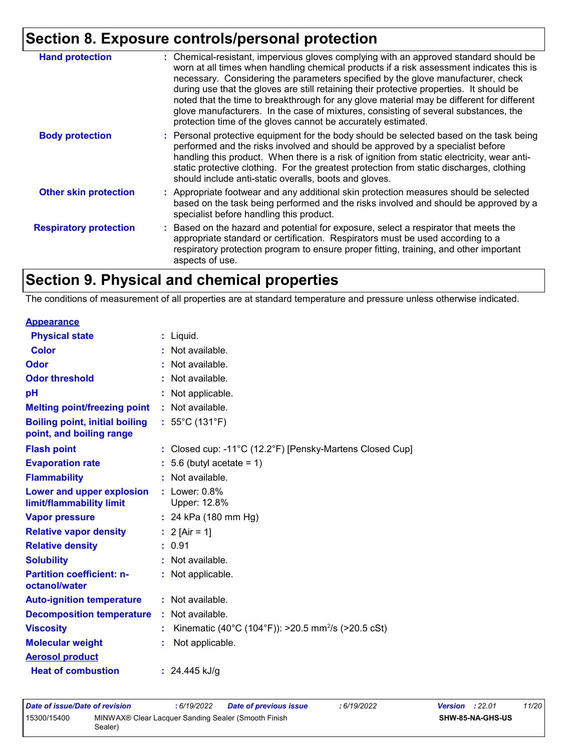| <b>Hand protection</b>        | : Chemical-resistant, impervious gloves complying with an approved standard should be<br>worn at all times when handling chemical products if a risk assessment indicates this is<br>necessary. Considering the parameters specified by the glove manufacturer, check<br>during use that the gloves are still retaining their protective properties. It should be<br>noted that the time to breakthrough for any glove material may be different for different<br>glove manufacturers. In the case of mixtures, consisting of several substances, the<br>protection time of the gloves cannot be accurately estimated. |
|-------------------------------|------------------------------------------------------------------------------------------------------------------------------------------------------------------------------------------------------------------------------------------------------------------------------------------------------------------------------------------------------------------------------------------------------------------------------------------------------------------------------------------------------------------------------------------------------------------------------------------------------------------------|
| <b>Body protection</b>        | : Personal protective equipment for the body should be selected based on the task being<br>performed and the risks involved and should be approved by a specialist before<br>handling this product. When there is a risk of ignition from static electricity, wear anti-<br>static protective clothing. For the greatest protection from static discharges, clothing<br>should include anti-static overalls, boots and gloves.                                                                                                                                                                                         |
| <b>Other skin protection</b>  | : Appropriate footwear and any additional skin protection measures should be selected<br>based on the task being performed and the risks involved and should be approved by a<br>specialist before handling this product.                                                                                                                                                                                                                                                                                                                                                                                              |
| <b>Respiratory protection</b> | : Based on the hazard and potential for exposure, select a respirator that meets the<br>appropriate standard or certification. Respirators must be used according to a<br>respiratory protection program to ensure proper fitting, training, and other important<br>aspects of use.                                                                                                                                                                                                                                                                                                                                    |

### **Section 9. Physical and chemical properties**

The conditions of measurement of all properties are at standard temperature and pressure unless otherwise indicated.

| <b>Appearance</b>                                                 |                                                                |
|-------------------------------------------------------------------|----------------------------------------------------------------|
| <b>Physical state</b>                                             | $:$ Liquid.                                                    |
| <b>Color</b>                                                      | Not available.                                                 |
| Odor                                                              | Not available.                                                 |
| <b>Odor threshold</b>                                             | Not available.                                                 |
| рH                                                                | Not applicable.                                                |
| <b>Melting point/freezing point</b>                               | : Not available.                                               |
| <b>Boiling point, initial boiling</b><br>point, and boiling range | : $55^{\circ}$ C (131 $^{\circ}$ F)                            |
| <b>Flash point</b>                                                | : Closed cup: -11°C (12.2°F) [Pensky-Martens Closed Cup]       |
| <b>Evaporation rate</b>                                           | 5.6 (butyl acetate = $1$ )                                     |
| <b>Flammability</b>                                               | Not available.                                                 |
| Lower and upper explosion<br>limit/flammability limit             | $:$ Lower: $0.8\%$<br>Upper: 12.8%                             |
| <b>Vapor pressure</b>                                             | : 24 kPa $(180 \text{ mm Hg})$                                 |
| <b>Relative vapor density</b>                                     | : $2$ [Air = 1]                                                |
| <b>Relative density</b>                                           | : 0.91                                                         |
| <b>Solubility</b>                                                 | Not available.                                                 |
| <b>Partition coefficient: n-</b><br>octanol/water                 | : Not applicable.                                              |
| <b>Auto-ignition temperature</b>                                  | $:$ Not available.                                             |
| <b>Decomposition temperature</b>                                  | : Not available.                                               |
| <b>Viscosity</b>                                                  | Kinematic (40°C (104°F)): >20.5 mm <sup>2</sup> /s (>20.5 cSt) |
| <b>Molecular weight</b>                                           | Not applicable.                                                |
| <b>Aerosol product</b>                                            |                                                                |
| <b>Heat of combustion</b>                                         | : $24.445$ kJ/g                                                |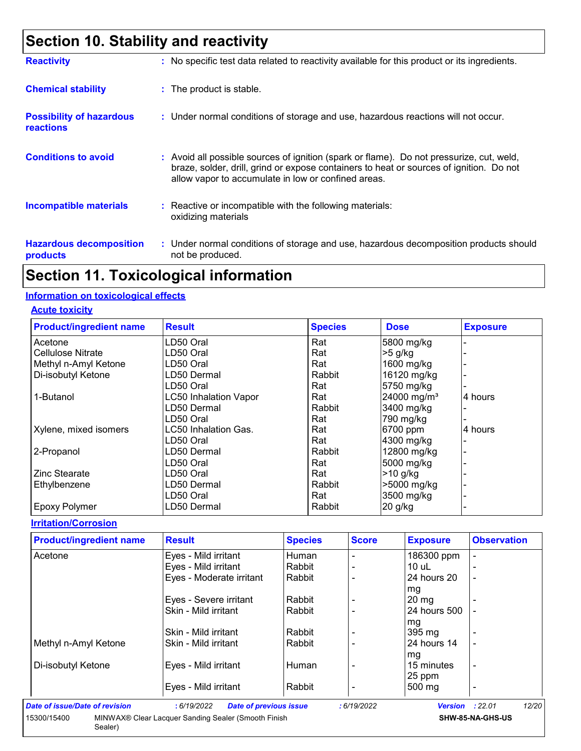### **Section 10. Stability and reactivity**

| <b>Reactivity</b>                                   | : No specific test data related to reactivity available for this product or its ingredients.                                                                                                                                               |
|-----------------------------------------------------|--------------------------------------------------------------------------------------------------------------------------------------------------------------------------------------------------------------------------------------------|
| <b>Chemical stability</b>                           | : The product is stable.                                                                                                                                                                                                                   |
| <b>Possibility of hazardous</b><br><b>reactions</b> | : Under normal conditions of storage and use, hazardous reactions will not occur.                                                                                                                                                          |
| <b>Conditions to avoid</b>                          | : Avoid all possible sources of ignition (spark or flame). Do not pressurize, cut, weld,<br>braze, solder, drill, grind or expose containers to heat or sources of ignition. Do not<br>allow vapor to accumulate in low or confined areas. |
| <b>Incompatible materials</b>                       | $\therefore$ Reactive or incompatible with the following materials:<br>oxidizing materials                                                                                                                                                 |
| <b>Hazardous decomposition</b><br>products          | : Under normal conditions of storage and use, hazardous decomposition products should<br>not be produced.                                                                                                                                  |

### **Section 11. Toxicological information**

#### **Information on toxicological effects**

#### **Acute toxicity**

| <b>Product/ingredient name</b> | <b>Result</b>                | <b>Species</b> | <b>Dose</b>             | <b>Exposure</b> |
|--------------------------------|------------------------------|----------------|-------------------------|-----------------|
| Acetone                        | LD50 Oral                    | Rat            | 5800 mg/kg              |                 |
| Cellulose Nitrate              | LD50 Oral                    | Rat            | $>5$ g/kg               |                 |
| Methyl n-Amyl Ketone           | LD50 Oral                    | Rat            | 1600 mg/kg              |                 |
| Di-isobutyl Ketone             | LD50 Dermal                  | Rabbit         | 16120 mg/kg             |                 |
|                                | LD50 Oral                    | Rat            | 5750 mg/kg              |                 |
| 1-Butanol                      | <b>LC50 Inhalation Vapor</b> | Rat            | 24000 mg/m <sup>3</sup> | 4 hours         |
|                                | LD50 Dermal                  | Rabbit         | 3400 mg/kg              |                 |
|                                | LD50 Oral                    | Rat            | 790 mg/kg               |                 |
| Xylene, mixed isomers          | LC50 Inhalation Gas.         | Rat            | 6700 ppm                | 4 hours         |
|                                | LD50 Oral                    | Rat            | 4300 mg/kg              |                 |
| 2-Propanol                     | LD50 Dermal                  | Rabbit         | 12800 mg/kg             |                 |
|                                | LD50 Oral                    | Rat            | 5000 mg/kg              |                 |
| <b>Zinc Stearate</b>           | LD50 Oral                    | Rat            | $>10$ g/kg              |                 |
| Ethylbenzene                   | LD50 Dermal                  | Rabbit         | >5000 mg/kg             |                 |
|                                | LD50 Oral                    | Rat            | 3500 mg/kg              |                 |
| <b>Epoxy Polymer</b>           | LD50 Dermal                  | Rabbit         | $20$ g/kg               |                 |

#### **Irritation/Corrosion**

| <b>Product/ingredient name</b> | <b>Result</b>                               | <b>Species</b> | <b>Score</b> | <b>Exposure</b>        | <b>Observation</b> |
|--------------------------------|---------------------------------------------|----------------|--------------|------------------------|--------------------|
| Acetone                        | Eyes - Mild irritant                        | Human          |              | 186300 ppm             |                    |
|                                | Eyes - Mild irritant                        | Rabbit         |              | $10$ uL                |                    |
|                                | Eyes - Moderate irritant                    | Rabbit         |              | 24 hours 20            |                    |
|                                |                                             |                |              | mg                     |                    |
|                                | Eyes - Severe irritant                      | Rabbit         |              | $20 \text{ mg}$        |                    |
|                                | Skin - Mild irritant                        | Rabbit         |              | 24 hours 500           |                    |
|                                |                                             |                |              | mg                     |                    |
|                                | Skin - Mild irritant                        | Rabbit         |              | 395 mg                 |                    |
| Methyl n-Amyl Ketone           | Skin - Mild irritant                        | Rabbit         |              | 24 hours 14            |                    |
|                                |                                             |                |              | mg                     |                    |
| Di-isobutyl Ketone             | Eyes - Mild irritant                        | Human          |              | 15 minutes             | $\blacksquare$     |
|                                |                                             |                |              | 25 ppm                 |                    |
|                                | Eyes - Mild irritant                        | Rabbit         |              | 500 mg                 |                    |
| Date of issue/Date of revision | :6/19/2022<br><b>Date of previous issue</b> |                | :6/19/2022   | <b>Version</b> : 22.01 | 12/20              |

**SHW-85-NA-GHS-US**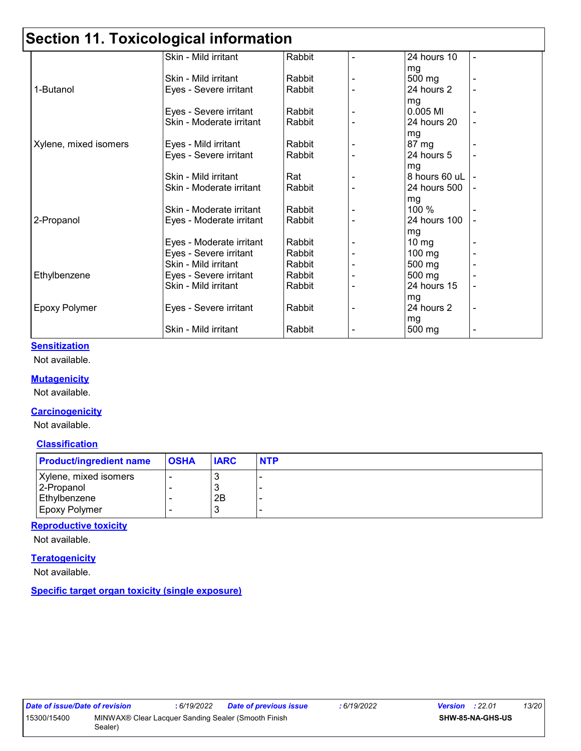### **Section 11. Toxicological information**

|                       | Skin - Mild irritant     | Rabbit | 24 hours 10     |  |
|-----------------------|--------------------------|--------|-----------------|--|
|                       |                          |        | mg              |  |
|                       | Skin - Mild irritant     | Rabbit | 500 mg          |  |
| 1-Butanol             | Eyes - Severe irritant   | Rabbit | 24 hours 2      |  |
|                       |                          |        | mg              |  |
|                       | Eyes - Severe irritant   | Rabbit | 0.005 MI        |  |
|                       | Skin - Moderate irritant | Rabbit | 24 hours 20     |  |
|                       |                          |        | mg              |  |
| Xylene, mixed isomers | Eyes - Mild irritant     | Rabbit | 87 mg           |  |
|                       | Eyes - Severe irritant   | Rabbit | 24 hours 5      |  |
|                       |                          |        | mg              |  |
|                       | Skin - Mild irritant     | Rat    | 8 hours 60 uL   |  |
|                       | Skin - Moderate irritant | Rabbit | 24 hours 500    |  |
|                       |                          |        | mg              |  |
|                       | Skin - Moderate irritant | Rabbit | 100 %           |  |
| 2-Propanol            | Eyes - Moderate irritant | Rabbit | 24 hours 100    |  |
|                       |                          |        | mg              |  |
|                       | Eyes - Moderate irritant | Rabbit | $10 \text{ mg}$ |  |
|                       | Eyes - Severe irritant   | Rabbit | 100 mg          |  |
|                       | Skin - Mild irritant     | Rabbit | 500 mg          |  |
| Ethylbenzene          | Eyes - Severe irritant   | Rabbit | 500 mg          |  |
|                       | Skin - Mild irritant     | Rabbit | 24 hours 15     |  |
|                       |                          |        | mg              |  |
| <b>Epoxy Polymer</b>  | Eyes - Severe irritant   | Rabbit | 24 hours 2      |  |
|                       |                          |        | mg              |  |
|                       | Skin - Mild irritant     | Rabbit | 500 mg          |  |
|                       |                          |        |                 |  |

#### **Sensitization**

Not available.

#### **Mutagenicity**

Not available.

#### **Carcinogenicity**

Not available.

#### **Classification**

| <b>Product/ingredient name</b> | <b>OSHA</b> | <b>IARC</b> | <b>NTP</b> |
|--------------------------------|-------------|-------------|------------|
| Xylene, mixed isomers          |             |             |            |
| 2-Propanol                     |             |             |            |
| Ethylbenzene                   |             | 2B          |            |
| Epoxy Polymer                  |             | J.          |            |

#### **Reproductive toxicity**

Not available.

#### **Teratogenicity**

Not available.

#### **Specific target organ toxicity (single exposure)**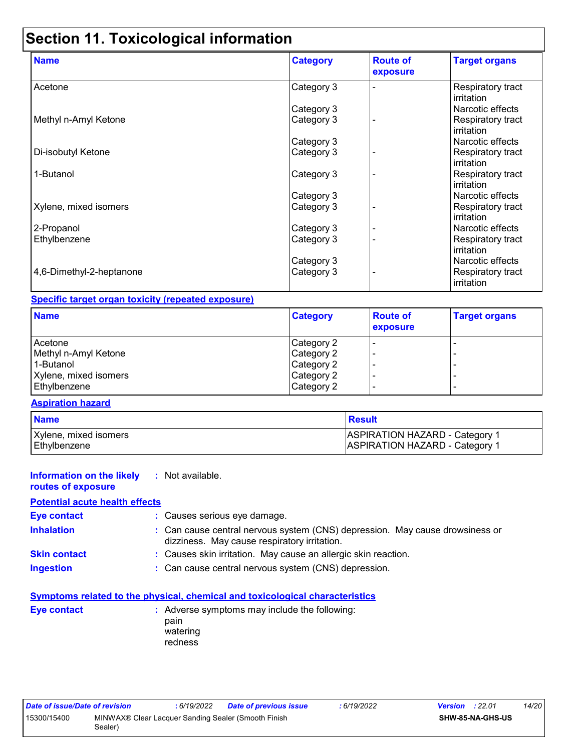## **Section 11. Toxicological information**

| <b>Name</b>              | <b>Category</b> | <b>Route of</b><br>exposure | <b>Target organs</b>                      |
|--------------------------|-----------------|-----------------------------|-------------------------------------------|
| Acetone                  | Category 3      |                             | Respiratory tract<br>irritation           |
|                          | Category 3      |                             | Narcotic effects                          |
| Methyl n-Amyl Ketone     | Category 3      |                             | Respiratory tract<br>lirritation          |
|                          | Category 3      |                             | Narcotic effects                          |
| Di-isobutyl Ketone       | Category 3      |                             | <b>Respiratory tract</b><br>irritation    |
| 1-Butanol                | Category 3      |                             | <b>Respiratory tract</b><br>l irritation. |
|                          | Category 3      |                             | Narcotic effects                          |
| Xylene, mixed isomers    | Category 3      |                             | Respiratory tract<br>l irritation         |
| 2-Propanol               | Category 3      |                             | Narcotic effects                          |
| Ethylbenzene             | Category 3      |                             | Respiratory tract<br><b>irritation</b>    |
|                          | Category 3      |                             | Narcotic effects                          |
| 4,6-Dimethyl-2-heptanone | Category 3      |                             | Respiratory tract<br>irritation           |

### **Specific target organ toxicity (repeated exposure)**

| <b>Name</b>           | <b>Category</b> | <b>Route of</b><br>exposure | <b>Target organs</b> |
|-----------------------|-----------------|-----------------------------|----------------------|
| Acetone               | Category 2      |                             |                      |
| Methyl n-Amyl Ketone  | Category 2      |                             | -                    |
| 1-Butanol             | Category 2      |                             | -                    |
| Xylene, mixed isomers | Category 2      |                             |                      |
| Ethylbenzene          | Category 2      |                             | -                    |

#### **Aspiration hazard**

| <b>Name</b>           | <b>Result</b>                         |
|-----------------------|---------------------------------------|
| Xylene, mixed isomers | <b>ASPIRATION HAZARD - Category 1</b> |
| Ethylbenzene          | <b>ASPIRATION HAZARD - Category 1</b> |

| <b>Information on the likely</b> : Not available.<br>routes of exposure |                                                                                                                              |
|-------------------------------------------------------------------------|------------------------------------------------------------------------------------------------------------------------------|
| <b>Potential acute health effects</b>                                   |                                                                                                                              |
| <b>Eye contact</b>                                                      | : Causes serious eye damage.                                                                                                 |
| <b>Inhalation</b>                                                       | : Can cause central nervous system (CNS) depression. May cause drowsiness or<br>dizziness. May cause respiratory irritation. |
| <b>Skin contact</b>                                                     | : Causes skin irritation. May cause an allergic skin reaction.                                                               |
| <b>Ingestion</b>                                                        | : Can cause central nervous system (CNS) depression.                                                                         |

|                    | <b>Symptoms related to the physical, chemical and toxicological characteristics</b> |
|--------------------|-------------------------------------------------------------------------------------|
| <b>Eve contact</b> | : Adverse symptoms may include the following:<br>pain<br>watering<br>redness        |

| Date of issue/Date of revision |                                                                | : 6/19/2022 | Date of previous issue | : 6/19/2022 | <b>Version</b> : 22.01 |                         | 14/20 |
|--------------------------------|----------------------------------------------------------------|-------------|------------------------|-------------|------------------------|-------------------------|-------|
| 15300/15400                    | MINWAX® Clear Lacquer Sanding Sealer (Smooth Finish<br>Sealer) |             |                        |             |                        | <b>SHW-85-NA-GHS-US</b> |       |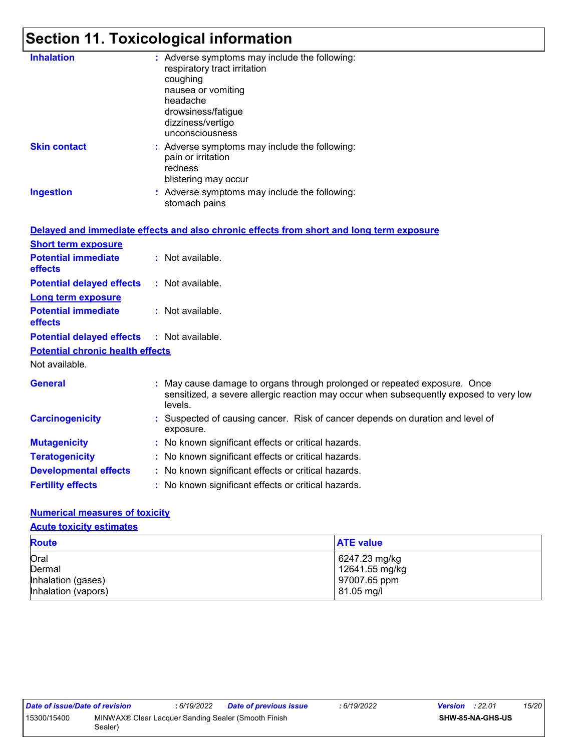## **Section 11. Toxicological information**

| <b>Inhalation</b>                       | : Adverse symptoms may include the following:<br>respiratory tract irritation<br>coughing<br>nausea or vomiting<br>headache<br>drowsiness/fatigue<br>dizziness/vertigo<br>unconsciousness |
|-----------------------------------------|-------------------------------------------------------------------------------------------------------------------------------------------------------------------------------------------|
| <b>Skin contact</b>                     | : Adverse symptoms may include the following:<br>pain or irritation<br>redness<br>blistering may occur                                                                                    |
| <b>Ingestion</b>                        | : Adverse symptoms may include the following:<br>stomach pains                                                                                                                            |
|                                         | Delayed and immediate effects and also chronic effects from short and long term exposure                                                                                                  |
| <b>Short term exposure</b>              |                                                                                                                                                                                           |
| <b>Potential immediate</b><br>effects   | : Not available.                                                                                                                                                                          |
| <b>Potential delayed effects</b>        | : Not available.                                                                                                                                                                          |
| <b>Long term exposure</b>               |                                                                                                                                                                                           |
| <b>Potential immediate</b><br>effects   | : Not available.                                                                                                                                                                          |
| <b>Potential delayed effects</b>        | : Not available.                                                                                                                                                                          |
| <b>Potential chronic health effects</b> |                                                                                                                                                                                           |
| Not available.                          |                                                                                                                                                                                           |
| <b>General</b>                          | May cause damage to organs through prolonged or repeated exposure. Once<br>sensitized, a severe allergic reaction may occur when subsequently exposed to very low<br>levels.              |
| <b>Carcinogenicity</b>                  | : Suspected of causing cancer. Risk of cancer depends on duration and level of<br>exposure.                                                                                               |
| <b>Mutagenicity</b>                     | : No known significant effects or critical hazards.                                                                                                                                       |
| <b>Teratogenicity</b>                   | : No known significant effects or critical hazards.                                                                                                                                       |
| <b>Developmental effects</b>            | : No known significant effects or critical hazards.                                                                                                                                       |
| <b>Fertility effects</b>                | : No known significant effects or critical hazards.                                                                                                                                       |
|                                         |                                                                                                                                                                                           |

#### **Numerical measures of toxicity**

#### **Acute toxicity estimates**

| <b>Route</b>        | <b>ATE value</b> |
|---------------------|------------------|
| Oral                | 6247.23 mg/kg    |
| Dermal              | 12641.55 mg/kg   |
| Inhalation (gases)  | 97007.65 ppm     |
| Inhalation (vapors) | 81.05 mg/l       |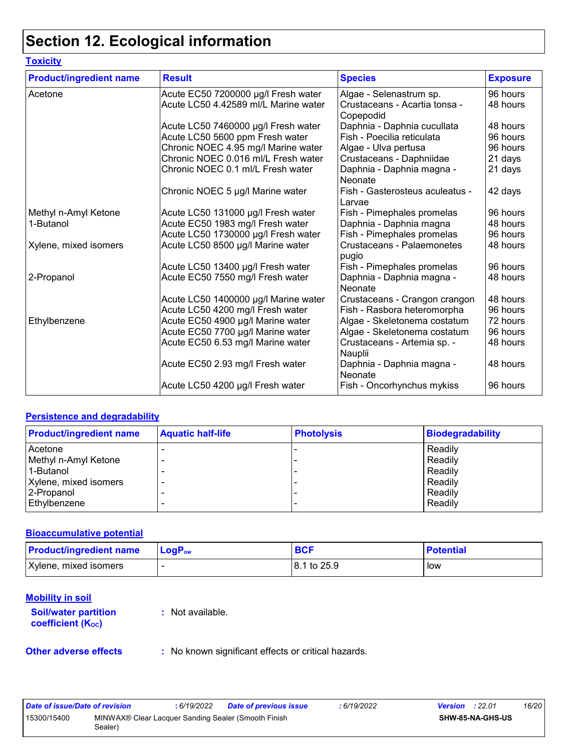## **Section 12. Ecological information**

| <b>Toxicity</b>                |                                      |                                            |                 |
|--------------------------------|--------------------------------------|--------------------------------------------|-----------------|
| <b>Product/ingredient name</b> | <b>Result</b>                        | <b>Species</b>                             | <b>Exposure</b> |
| Acetone                        | Acute EC50 7200000 µg/l Fresh water  | Algae - Selenastrum sp.                    | 96 hours        |
|                                | Acute LC50 4.42589 ml/L Marine water | Crustaceans - Acartia tonsa -<br>Copepodid | 48 hours        |
|                                | Acute LC50 7460000 µg/l Fresh water  | Daphnia - Daphnia cucullata                | 48 hours        |
|                                | Acute LC50 5600 ppm Fresh water      | Fish - Poecilia reticulata                 | 96 hours        |
|                                | Chronic NOEC 4.95 mg/l Marine water  | Algae - Ulva pertusa                       | 96 hours        |
|                                | Chronic NOEC 0.016 ml/L Fresh water  | Crustaceans - Daphniidae                   | 21 days         |
|                                | Chronic NOEC 0.1 ml/L Fresh water    | Daphnia - Daphnia magna -<br>Neonate       | 21 days         |
|                                | Chronic NOEC 5 µg/l Marine water     | Fish - Gasterosteus aculeatus -<br>Larvae  | 42 days         |
| Methyl n-Amyl Ketone           | Acute LC50 131000 µg/l Fresh water   | Fish - Pimephales promelas                 | 96 hours        |
| 1-Butanol                      | Acute EC50 1983 mg/l Fresh water     | Daphnia - Daphnia magna                    | 48 hours        |
|                                | Acute LC50 1730000 µg/l Fresh water  | Fish - Pimephales promelas                 | 96 hours        |
| Xylene, mixed isomers          | Acute LC50 8500 µg/l Marine water    | Crustaceans - Palaemonetes<br>pugio        | 48 hours        |
|                                | Acute LC50 13400 µg/l Fresh water    | Fish - Pimephales promelas                 | 96 hours        |
| 2-Propanol                     | Acute EC50 7550 mg/l Fresh water     | Daphnia - Daphnia magna -<br>Neonate       | 48 hours        |
|                                | Acute LC50 1400000 µg/l Marine water | Crustaceans - Crangon crangon              | 48 hours        |
|                                | Acute LC50 4200 mg/l Fresh water     | Fish - Rasbora heteromorpha                | 96 hours        |
| Ethylbenzene                   | Acute EC50 4900 µg/l Marine water    | Algae - Skeletonema costatum               | 72 hours        |
|                                | Acute EC50 7700 µg/l Marine water    | Algae - Skeletonema costatum               | 96 hours        |
|                                | Acute EC50 6.53 mg/l Marine water    | Crustaceans - Artemia sp. -<br>Nauplii     | 48 hours        |
|                                | Acute EC50 2.93 mg/l Fresh water     | Daphnia - Daphnia magna -<br>Neonate       | 48 hours        |
|                                | Acute LC50 4200 µg/l Fresh water     | Fish - Oncorhynchus mykiss                 | 96 hours        |

#### **Persistence and degradability**

| <b>Product/ingredient name</b> | <b>Aquatic half-life</b> | <b>Photolysis</b> | <b>Biodegradability</b> |
|--------------------------------|--------------------------|-------------------|-------------------------|
| Acetone                        |                          |                   | Readily                 |
| Methyl n-Amyl Ketone           |                          |                   | Readily                 |
| 1-Butanol                      |                          |                   | Readily                 |
| Xylene, mixed isomers          |                          |                   | Readily                 |
| 2-Propanol                     |                          |                   | Readily                 |
| Ethylbenzene                   |                          |                   | Readily                 |

#### **Bioaccumulative potential**

| <b>Product/ingredient name</b> | $\blacksquare$ LogP <sub>ow</sub> | <b>BCF</b>    | <b>Potential</b> |
|--------------------------------|-----------------------------------|---------------|------------------|
| Xylene, mixed isomers          |                                   | l 8.1 to 25.9 | low              |

#### **Mobility in soil**

**Soil/water partition coefficient** (Koc)

**:** Not available.

**Other adverse effects** : No known significant effects or critical hazards.

| Date of issue/Date of revision |                                                                | : 6/19/2022 | <b>Date of previous issue</b> | 6/19/2022 | <b>Version</b> : 22.01 |                  | 16/20 |
|--------------------------------|----------------------------------------------------------------|-------------|-------------------------------|-----------|------------------------|------------------|-------|
| 15300/15400                    | MINWAX® Clear Lacquer Sanding Sealer (Smooth Finish<br>Sealer) |             |                               |           |                        | SHW-85-NA-GHS-US |       |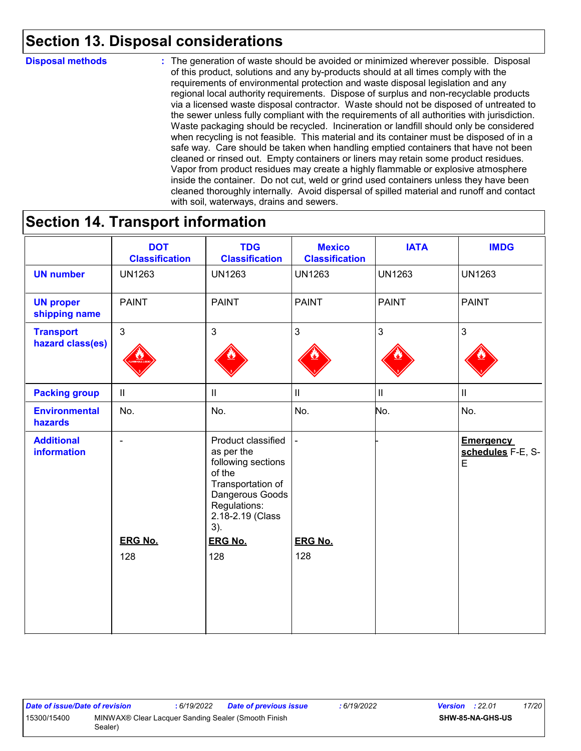### **Section 13. Disposal considerations**

#### **Disposal methods :**

The generation of waste should be avoided or minimized wherever possible. Disposal of this product, solutions and any by-products should at all times comply with the requirements of environmental protection and waste disposal legislation and any regional local authority requirements. Dispose of surplus and non-recyclable products via a licensed waste disposal contractor. Waste should not be disposed of untreated to the sewer unless fully compliant with the requirements of all authorities with jurisdiction. Waste packaging should be recycled. Incineration or landfill should only be considered when recycling is not feasible. This material and its container must be disposed of in a safe way. Care should be taken when handling emptied containers that have not been cleaned or rinsed out. Empty containers or liners may retain some product residues. Vapor from product residues may create a highly flammable or explosive atmosphere inside the container. Do not cut, weld or grind used containers unless they have been cleaned thoroughly internally. Avoid dispersal of spilled material and runoff and contact with soil, waterways, drains and sewers.

### **Section 14. Transport information**

|                                         | <b>DOT</b><br><b>Classification</b> | <b>TDG</b><br><b>Classification</b>                                                                                                                 | <b>Mexico</b><br><b>Classification</b> | <b>IATA</b>    | <b>IMDG</b>                                |
|-----------------------------------------|-------------------------------------|-----------------------------------------------------------------------------------------------------------------------------------------------------|----------------------------------------|----------------|--------------------------------------------|
| <b>UN number</b>                        | <b>UN1263</b>                       | <b>UN1263</b>                                                                                                                                       | <b>UN1263</b>                          | <b>UN1263</b>  | <b>UN1263</b>                              |
| <b>UN proper</b><br>shipping name       | <b>PAINT</b>                        | <b>PAINT</b>                                                                                                                                        | <b>PAINT</b>                           | <b>PAINT</b>   | <b>PAINT</b>                               |
| <b>Transport</b><br>hazard class(es)    | $\overline{3}$                      | $\mathbf{3}$                                                                                                                                        | $\mathbf{3}$                           | $\overline{3}$ | $\overline{3}$                             |
| <b>Packing group</b>                    | $\ensuremath{\mathsf{II}}$          | $\mathbf{II}$                                                                                                                                       | $\mathbf{II}$                          | $\mathbf{II}$  | $\ensuremath{\mathsf{II}}$                 |
| <b>Environmental</b><br>hazards         | No.                                 | No.                                                                                                                                                 | No.                                    | No.            | No.                                        |
| <b>Additional</b><br><b>information</b> | $\overline{a}$                      | Product classified<br>as per the<br>following sections<br>of the<br>Transportation of<br>Dangerous Goods<br>Regulations:<br>2.18-2.19 (Class<br>3). |                                        |                | <b>Emergency</b><br>schedules F-E, S-<br>E |
|                                         | <b>ERG No.</b>                      | <b>ERG No.</b>                                                                                                                                      | <b>ERG No.</b>                         |                |                                            |
|                                         | 128                                 | 128                                                                                                                                                 | 128                                    |                |                                            |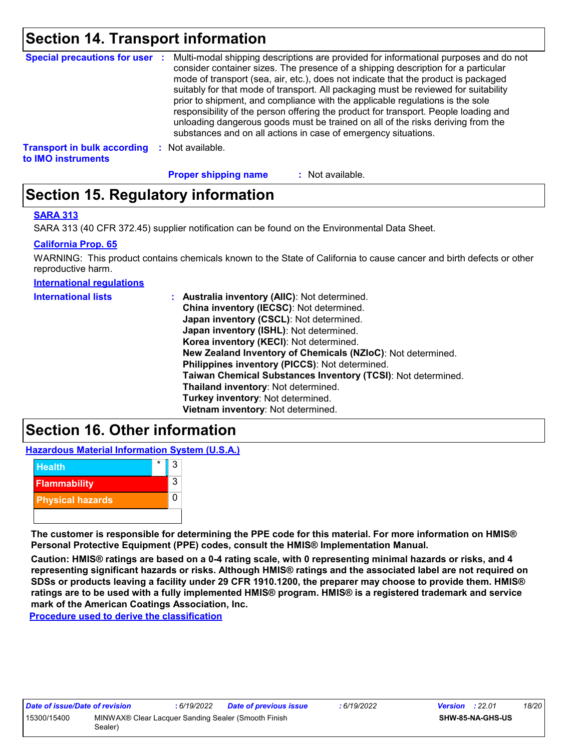### **Section 14. Transport information**

| <b>Special precautions for user :</b>                    | Multi-modal shipping descriptions are provided for informational purposes and do not<br>consider container sizes. The presence of a shipping description for a particular<br>mode of transport (sea, air, etc.), does not indicate that the product is packaged<br>suitably for that mode of transport. All packaging must be reviewed for suitability<br>prior to shipment, and compliance with the applicable regulations is the sole<br>responsibility of the person offering the product for transport. People loading and<br>unloading dangerous goods must be trained on all of the risks deriving from the<br>substances and on all actions in case of emergency situations. |
|----------------------------------------------------------|-------------------------------------------------------------------------------------------------------------------------------------------------------------------------------------------------------------------------------------------------------------------------------------------------------------------------------------------------------------------------------------------------------------------------------------------------------------------------------------------------------------------------------------------------------------------------------------------------------------------------------------------------------------------------------------|
| <b>Transport in bulk according</b><br>to IMO instruments | Not available.                                                                                                                                                                                                                                                                                                                                                                                                                                                                                                                                                                                                                                                                      |

**Proper shipping name :**

: Not available.

### **Section 15. Regulatory information**

#### **SARA 313**

SARA 313 (40 CFR 372.45) supplier notification can be found on the Environmental Data Sheet.

#### **California Prop. 65**

WARNING: This product contains chemicals known to the State of California to cause cancer and birth defects or other reproductive harm.

**International regulations**

| <b>International lists</b> | : Australia inventory (AIIC): Not determined.                |
|----------------------------|--------------------------------------------------------------|
|                            | China inventory (IECSC): Not determined.                     |
|                            | Japan inventory (CSCL): Not determined.                      |
|                            | Japan inventory (ISHL): Not determined.                      |
|                            | Korea inventory (KECI): Not determined.                      |
|                            | New Zealand Inventory of Chemicals (NZIoC): Not determined.  |
|                            | Philippines inventory (PICCS): Not determined.               |
|                            | Taiwan Chemical Substances Inventory (TCSI): Not determined. |
|                            | Thailand inventory: Not determined.                          |
|                            | Turkey inventory: Not determined.                            |
|                            | Vietnam inventory: Not determined.                           |

### **Section 16. Other information**

**Hazardous Material Information System (U.S.A.)**



**The customer is responsible for determining the PPE code for this material. For more information on HMIS® Personal Protective Equipment (PPE) codes, consult the HMIS® Implementation Manual.**

**Caution: HMIS® ratings are based on a 0-4 rating scale, with 0 representing minimal hazards or risks, and 4 representing significant hazards or risks. Although HMIS® ratings and the associated label are not required on SDSs or products leaving a facility under 29 CFR 1910.1200, the preparer may choose to provide them. HMIS® ratings are to be used with a fully implemented HMIS® program. HMIS® is a registered trademark and service mark of the American Coatings Association, Inc.**

**Procedure used to derive the classification**